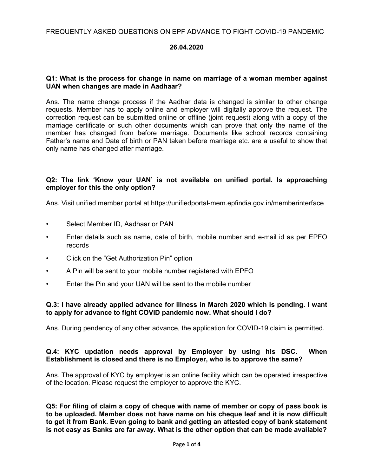#### 26.04.2020

#### Q1: What is the process for change in name on marriage of a woman member against UAN when changes are made in Aadhaar?

Ans. The name change process if the Aadhar data is changed is similar to other change requests. Member has to apply online and employer will digitally approve the request. The correction request can be submitted online or offline (joint request) along with a copy of the marriage certificate or such other documents which can prove that only the name of the member has changed from before marriage. Documents like school records containing Father's name and Date of birth or PAN taken before marriage etc. are a useful to show that only name has changed after marriage.

#### Q2: The link 'Know your UAN' is not available on unified portal. Is approaching employer for this the only option?

Ans. Visit unified member portal at https://unifiedportal-mem.epfindia.gov.in/memberinterface

- Select Member ID, Aadhaar or PAN
- Enter details such as name, date of birth, mobile number and e-mail id as per EPFO records
- Click on the "Get Authorization Pin" option
- A Pin will be sent to your mobile number registered with EPFO
- Enter the Pin and your UAN will be sent to the mobile number

#### Q.3: I have already applied advance for illness in March 2020 which is pending. I want to apply for advance to fight COVID pandemic now. What should I do?

Ans. During pendency of any other advance, the application for COVID-19 claim is permitted.

#### Q.4: KYC updation needs approval by Employer by using his DSC. When Establishment is closed and there is no Employer, who is to approve the same?

Ans. The approval of KYC by employer is an online facility which can be operated irrespective of the location. Please request the employer to approve the KYC.

Q5: For filing of claim a copy of cheque with name of member or copy of pass book is to be uploaded. Member does not have name on his cheque leaf and it is now difficult to get it from Bank. Even going to bank and getting an attested copy of bank statement is not easy as Banks are far away. What is the other option that can be made available?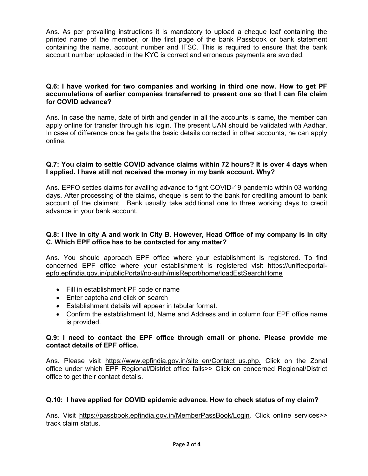Ans. As per prevailing instructions it is mandatory to upload a cheque leaf containing the printed name of the member, or the first page of the bank Passbook or bank statement containing the name, account number and IFSC. This is required to ensure that the bank account number uploaded in the KYC is correct and erroneous payments are avoided.

#### Q.6: I have worked for two companies and working in third one now. How to get PF accumulations of earlier companies transferred to present one so that I can file claim for COVID advance?

Ans. In case the name, date of birth and gender in all the accounts is same, the member can apply online for transfer through his login. The present UAN should be validated with Aadhar. In case of difference once he gets the basic details corrected in other accounts, he can apply online.

#### Q.7: You claim to settle COVID advance claims within 72 hours? It is over 4 days when I applied. I have still not received the money in my bank account. Why?

Ans. EPFO settles claims for availing advance to fight COVID-19 pandemic within 03 working days. After processing of the claims, cheque is sent to the bank for crediting amount to bank account of the claimant. Bank usually take additional one to three working days to credit advance in your bank account.

## Q.8: I live in city A and work in City B. However, Head Office of my company is in city C. Which EPF office has to be contacted for any matter?

Ans. You should approach EPF office where your establishment is registered. To find concerned EPF office where your establishment is registered visit https://unifiedportalepfo.epfindia.gov.in/publicPortal/no-auth/misReport/home/loadEstSearchHome

- Fill in establishment PF code or name
- Enter captcha and click on search
- Establishment details will appear in tabular format.
- Confirm the establishment Id, Name and Address and in column four EPF office name is provided.

#### Q.9: I need to contact the EPF office through email or phone. Please provide me contact details of EPF office.

Ans. Please visit https://www.epfindia.gov.in/site en/Contact us.php. Click on the Zonal office under which EPF Regional/District office falls>> Click on concerned Regional/District office to get their contact details.

# Q.10: I have applied for COVID epidemic advance. How to check status of my claim?

Ans. Visit https://passbook.epfindia.gov.in/MemberPassBook/Login. Click online services>> track claim status.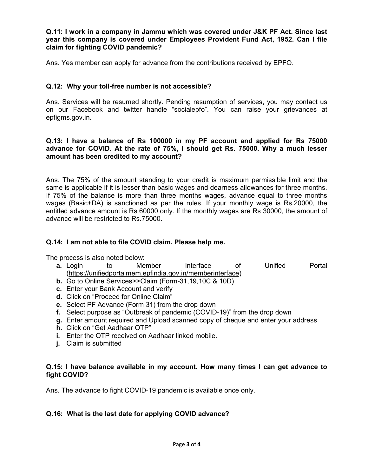#### Q.11: I work in a company in Jammu which was covered under J&K PF Act. Since last year this company is covered under Employees Provident Fund Act, 1952. Can I file claim for fighting COVID pandemic?

Ans. Yes member can apply for advance from the contributions received by EPFO.

## Q.12: Why your toll-free number is not accessible?

Ans. Services will be resumed shortly. Pending resumption of services, you may contact us on our Facebook and twitter handle "socialepfo". You can raise your grievances at epfigms.gov.in.

#### Q.13: I have a balance of Rs 100000 in my PF account and applied for Rs 75000 advance for COVID. At the rate of 75%, I should get Rs. 75000. Why a much lesser amount has been credited to my account?

Ans. The 75% of the amount standing to your credit is maximum permissible limit and the same is applicable if it is lesser than basic wages and dearness allowances for three months. If 75% of the balance is more than three months wages, advance equal to three months wages (Basic+DA) is sanctioned as per the rules. If your monthly wage is Rs.20000, the entitled advance amount is Rs 60000 only. If the monthly wages are Rs 30000, the amount of advance will be restricted to Rs.75000.

#### Q.14: I am not able to file COVID claim. Please help me.

The process is also noted below:

- **a.** Login to Member Interface of Unified Portal (https://unifiedportalmem.epfindia.gov.in/memberinterface)
- b. Go to Online Services>>Claim (Form-31,19,10C & 10D)
- c. Enter your Bank Account and verify
- d. Click on "Proceed for Online Claim"
- e. Select PF Advance (Form 31) from the drop down
- f. Select purpose as "Outbreak of pandemic (COVID-19)" from the drop down
- g. Enter amount required and Upload scanned copy of cheque and enter your address
- h. Click on "Get Aadhaar OTP"
- i. Enter the OTP received on Aadhaar linked mobile.
- **j.** Claim is submitted

#### Q.15: I have balance available in my account. How many times I can get advance to fight COVID?

Ans. The advance to fight COVID-19 pandemic is available once only.

# Q.16: What is the last date for applying COVID advance?